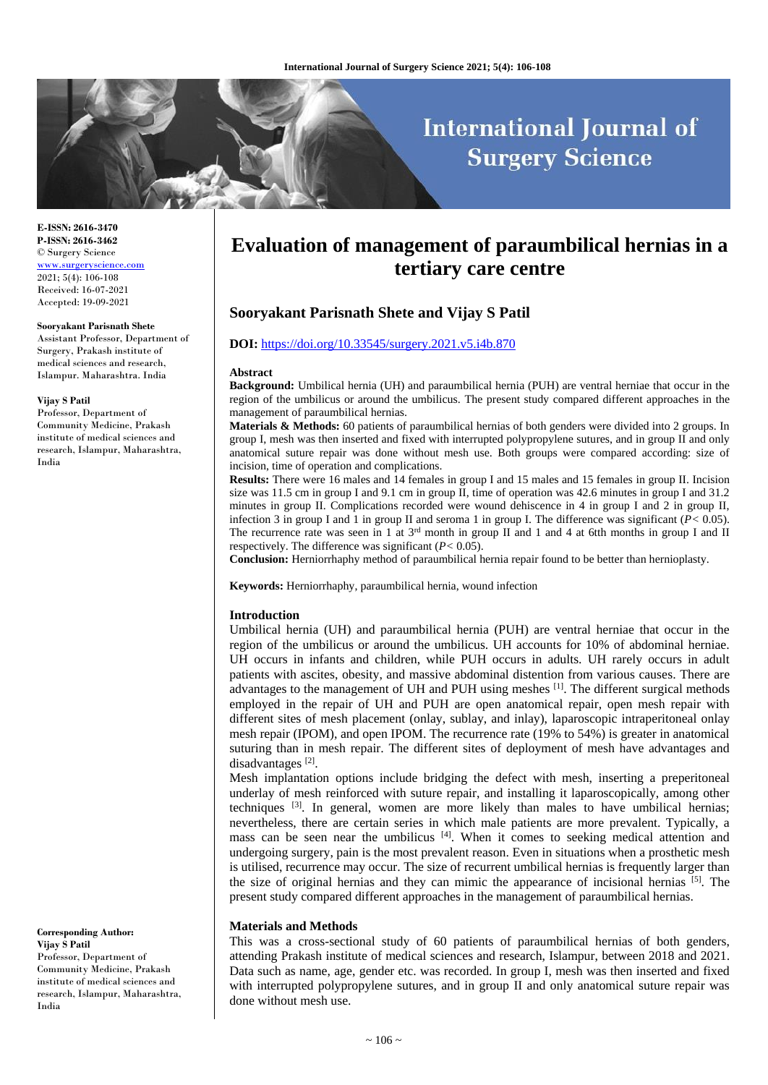# **International Journal of Surgery Science**

**E-ISSN: 2616-3470 P-ISSN: 2616-3462** © Surgery Science [www.surgeryscience.com](http://www.surgeryscience.com/) 2021; 5(4): 106-108 Received: 16-07-2021 Accepted: 19-09-2021

#### **Sooryakant Parisnath Shete**

Assistant Professor, Department of Surgery, Prakash institute of medical sciences and research, Islampur. Maharashtra. India

#### **Vijay S Patil**

Professor, Department of Community Medicine, Prakash institute of medical sciences and research, Islampur, Maharashtra, India

**Corresponding Author: Vijay S Patil** Professor, Department of Community Medicine, Prakash institute of medical sciences and research, Islampur, Maharashtra, India

## **Evaluation of management of paraumbilical hernias in a tertiary care centre**

## **Sooryakant Parisnath Shete and Vijay S Patil**

#### **DOI:** <https://doi.org/10.33545/surgery.2021.v5.i4b.870>

#### **Abstract**

**Background:** Umbilical hernia (UH) and paraumbilical hernia (PUH) are ventral herniae that occur in the region of the umbilicus or around the umbilicus. The present study compared different approaches in the management of paraumbilical hernias.

**Materials & Methods:** 60 patients of paraumbilical hernias of both genders were divided into 2 groups. In group I, mesh was then inserted and fixed with interrupted polypropylene sutures, and in group II and only anatomical suture repair was done without mesh use. Both groups were compared according: size of incision, time of operation and complications.

**Results:** There were 16 males and 14 females in group I and 15 males and 15 females in group II. Incision size was 11.5 cm in group I and 9.1 cm in group II, time of operation was 42.6 minutes in group I and 31.2 minutes in group II. Complications recorded were wound dehiscence in 4 in group I and 2 in group II, infection 3 in group I and 1 in group II and seroma 1 in group I. The difference was significant (*P<* 0.05). The recurrence rate was seen in 1 at  $3^{rd}$  month in group II and 1 and 4 at 6tth months in group I and II respectively. The difference was significant (*P<* 0.05).

**Conclusion:** Herniorrhaphy method of paraumbilical hernia repair found to be better than hernioplasty.

**Keywords:** Herniorrhaphy, paraumbilical hernia, wound infection

#### **Introduction**

Umbilical hernia (UH) and paraumbilical hernia (PUH) are ventral herniae that occur in the region of the umbilicus or around the umbilicus. UH accounts for 10% of abdominal herniae. UH occurs in infants and children, while PUH occurs in adults. UH rarely occurs in adult patients with ascites, obesity, and massive abdominal distention from various causes. There are advantages to the management of UH and PUH using meshes  $[1]$ . The different surgical methods employed in the repair of UH and PUH are open anatomical repair, open mesh repair with different sites of mesh placement (onlay, sublay, and inlay), laparoscopic intraperitoneal onlay mesh repair (IPOM), and open IPOM. The recurrence rate (19% to 54%) is greater in anatomical suturing than in mesh repair. The different sites of deployment of mesh have advantages and disadvantages<sup>[2]</sup>.

Mesh implantation options include bridging the defect with mesh, inserting a preperitoneal underlay of mesh reinforced with suture repair, and installing it laparoscopically, among other techniques  $[3]$ . In general, women are more likely than males to have umbilical hernias; nevertheless, there are certain series in which male patients are more prevalent. Typically, a mass can be seen near the umbilicus<sup>[4]</sup>. When it comes to seeking medical attention and undergoing surgery, pain is the most prevalent reason. Even in situations when a prosthetic mesh is utilised, recurrence may occur. The size of recurrent umbilical hernias is frequently larger than the size of original hernias and they can mimic the appearance of incisional hernias [5]. The present study compared different approaches in the management of paraumbilical hernias.

#### **Materials and Methods**

This was a cross-sectional study of 60 patients of paraumbilical hernias of both genders, attending Prakash institute of medical sciences and research, Islampur, between 2018 and 2021. Data such as name, age, gender etc. was recorded. In group I, mesh was then inserted and fixed with interrupted polypropylene sutures, and in group II and only anatomical suture repair was done without mesh use.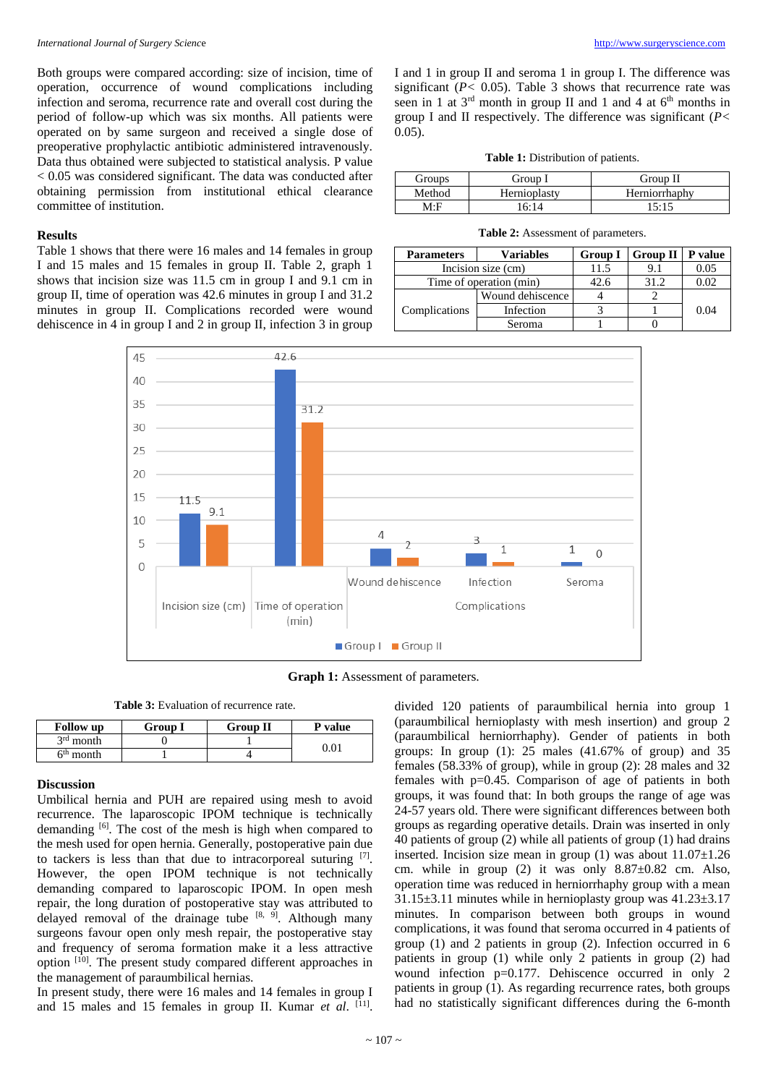Both groups were compared according: size of incision, time of operation, occurrence of wound complications including infection and seroma, recurrence rate and overall cost during the period of follow-up which was six months. All patients were operated on by same surgeon and received a single dose of preoperative prophylactic antibiotic administered intravenously. Data thus obtained were subjected to statistical analysis. P value < 0.05 was considered significant. The data was conducted after obtaining permission from institutional ethical clearance committee of institution.

## **Results**

Table 1 shows that there were 16 males and 14 females in group I and 15 males and 15 females in group II. Table 2, graph 1 shows that incision size was 11.5 cm in group I and 9.1 cm in group II, time of operation was 42.6 minutes in group I and 31.2 minutes in group II. Complications recorded were wound dehiscence in 4 in group I and 2 in group II, infection 3 in group

I and 1 in group II and seroma 1 in group I. The difference was significant  $(P< 0.05)$ . Table 3 shows that recurrence rate was seen in 1 at  $3<sup>rd</sup>$  month in group II and 1 and 4 at  $6<sup>th</sup>$  months in group I and II respectively. The difference was significant (*P<* 0.05).

**Table 1:** Distribution of patients.

| Groups | Group l      | Group II      |
|--------|--------------|---------------|
| Method | Hernioplastv | Herniorrhaphy |
| M∙F    | 16.14        | 15.15         |

**Table 2:** Assessment of parameters.

| <b>Parameters</b>       | <b>Variables</b> | <b>Group I</b> | Group $II \mid P$ value |      |  |
|-------------------------|------------------|----------------|-------------------------|------|--|
| Incision size (cm)      |                  | 11.5           | 9.1                     | 0.05 |  |
| Time of operation (min) |                  | 42.6           | 31.2                    | 0.02 |  |
| Complications           | Wound dehiscence |                |                         |      |  |
|                         | Infection        |                |                         | 0.04 |  |
|                         | Seroma           |                |                         |      |  |



**Graph 1:** Assessment of parameters.

**Table 3:** Evaluation of recurrence rate.

| <b>Follow</b> up      | Group I | <b>Group II</b> | P value |  |
|-----------------------|---------|-----------------|---------|--|
| $3rd$ month           |         |                 |         |  |
| 6 <sup>th</sup> month |         |                 |         |  |

## **Discussion**

Umbilical hernia and PUH are repaired using mesh to avoid recurrence. The laparoscopic IPOM technique is technically demanding <sup>[6]</sup>. The cost of the mesh is high when compared to the mesh used for open hernia. Generally, postoperative pain due to tackers is less than that due to intracorporeal suturing  $[7]$ . However, the open IPOM technique is not technically demanding compared to laparoscopic IPOM. In open mesh repair, the long duration of postoperative stay was attributed to delayed removal of the drainage tube  $[8, 9]$ . Although many surgeons favour open only mesh repair, the postoperative stay and frequency of seroma formation make it a less attractive option <sup>[10]</sup>. The present study compared different approaches in the management of paraumbilical hernias.

In present study, there were 16 males and 14 females in group I and 15 males and 15 females in group II. Kumar et al. [11].

divided 120 patients of paraumbilical hernia into group 1 (paraumbilical hernioplasty with mesh insertion) and group 2 (paraumbilical herniorrhaphy). Gender of patients in both groups: In group  $(1)$ : 25 males  $(41.67\% \text{ of group})$  and 35 females (58.33% of group), while in group (2): 28 males and 32 females with p=0.45. Comparison of age of patients in both groups, it was found that: In both groups the range of age was 24-57 years old. There were significant differences between both groups as regarding operative details. Drain was inserted in only 40 patients of group (2) while all patients of group (1) had drains inserted. Incision size mean in group (1) was about 11.07±1.26 cm. while in group (2) it was only 8.87±0.82 cm. Also, operation time was reduced in herniorrhaphy group with a mean  $31.15\pm3.11$  minutes while in hernioplasty group was  $41.23\pm3.17$ minutes. In comparison between both groups in wound complications, it was found that seroma occurred in 4 patients of group (1) and 2 patients in group (2). Infection occurred in 6 patients in group (1) while only 2 patients in group (2) had wound infection p=0.177. Dehiscence occurred in only 2 patients in group (1). As regarding recurrence rates, both groups had no statistically significant differences during the 6-month